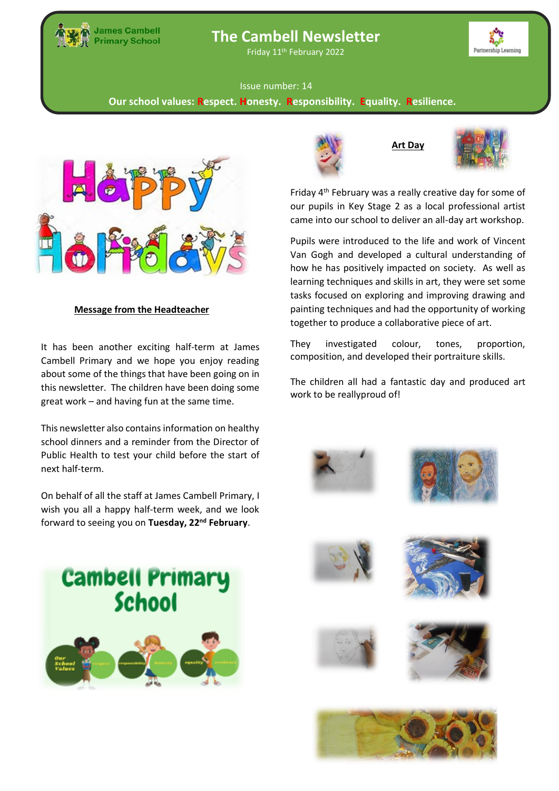

# **The Cambell Newsletter**

Friday 11th February 2022



#### Issue number: 14

**Our school values: Respect. Honesty. Responsibility. Equality. Resilience.**



# **Message from the Headteacher**

It has been another exciting half-term at James Cambell Primary and we hope you enjoy reading about some of the things that have been going on in this newsletter. The children have been doing some great work – and having fun at the same time.

school dinners and a reminder from the Director of **Tests**  next half-term. This newsletter also contains information on healthy Public Health to test your child before the start of

On behalf of all the staff at James Cambell Primary, I wish you all a happy half-term week, and we look forward to seeing you on **Tuesday, 22nd February**.





**Art Day**



Friday 4th February was a really creative day for some of our pupils in Key Stage 2 as a local professional artist came into our school to deliver an all-day art workshop.

Pupils were introduced to the life and work of Vincent Van Gogh and developed a cultural understanding of how he has positively impacted on society. As well as learning techniques and skills in art, they were set some tasks focused on exploring and improving drawing and painting techniques and had the opportunity of working together to produce a collaborative piece of art.

They investigated colour, tones, proportion, composition, and developed their portraiture skills.

The children all had a fantastic day and produced art work to be reallyproud of!













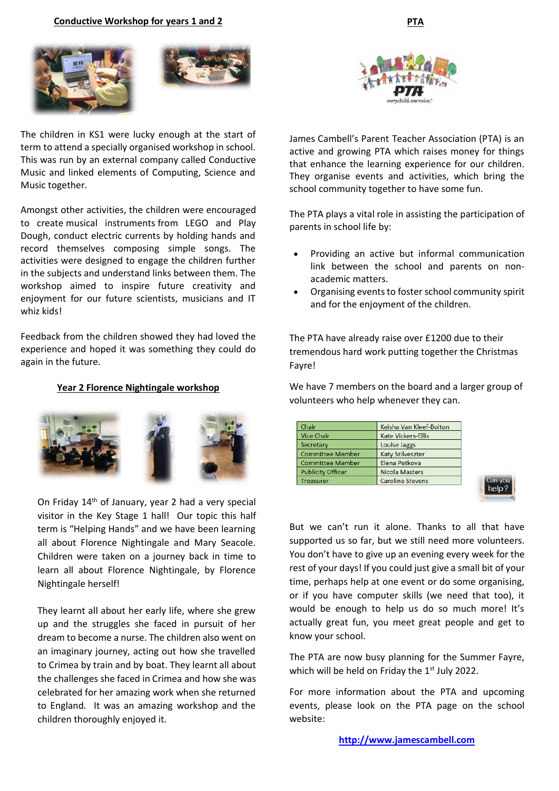



The children in KS1 were lucky enough at the start of term to attend a specially organised workshop in school. This was run by an external company called Conductive Music and linked elements of Computing, Science and Music together.

Amongst other activities, the children were encouraged to create musical instruments from LEGO and Play Dough, conduct electric currents by holding hands and record themselves composing simple songs. The activities were designed to engage the children further in the subjects and understand links between them. The workshop aimed to inspire future creativity and enjoyment for our future scientists, musicians and IT whiz kids!

Feedback from the children showed they had loved the experience and hoped it was something they could do again in the future.

#### **Year 2 Florence Nightingale workshop**



On Friday 14<sup>th</sup> of January, year 2 had a very special visitor in the Key Stage 1 hall! Our topic this half term is "Helping Hands" and we have been learning all about Florence Nightingale and Mary Seacole. Children were taken on a journey back in time to learn all about Florence Nightingale, by Florence Nightingale herself!

They learnt all about her early life, where she grew up and the struggles she faced in pursuit of her dream to become a nurse. The children also went on an imaginary journey, acting out how she travelled to Crimea by train and by boat. They learnt all about the challenges she faced in Crimea and how she was celebrated for her amazing work when she returned to England. It was an amazing workshop and the children thoroughly enjoyed it.



James Cambell's Parent Teacher Association (PTA) is an active and growing PTA which raises money for things that enhance the learning experience for our children. They organise events and activities, which bring the school community together to have some fun.

The PTA plays a vital role in assisting the participation of parents in school life by:

- Providing an active but informal communication link between the school and parents on nonacademic matters.
- Organising events to foster school community spirit and for the enjoyment of the children.

The PTA have already raise over £1200 due to their tremendous hard work putting together the Christmas Fayre!

We have 7 members on the board and a larger group of volunteers who help whenever they can.

| Keisha Van Kleef-Bolton |
|-------------------------|
| Kate Vickers-Ellis      |
| Louise Jaggs            |
| Katy Szilveszter        |
| Elena Petkova           |
| Nicola Masters          |
| <b>Caroline Stevens</b> |
|                         |

help?

But we can't run it alone. Thanks to all that have supported us so far, but we still need more volunteers. You don't have to give up an evening every week for the rest of your days! If you could just give a small bit of your time, perhaps help at one event or do some organising, or if you have computer skills (we need that too), it would be enough to help us do so much more! It's actually great fun, you meet great people and get to know your school.

The PTA are now busy planning for the Summer Fayre, which will be held on Friday the 1<sup>st</sup> July 2022.

For more information about the PTA and upcoming events, please look on the PTA page on the school website: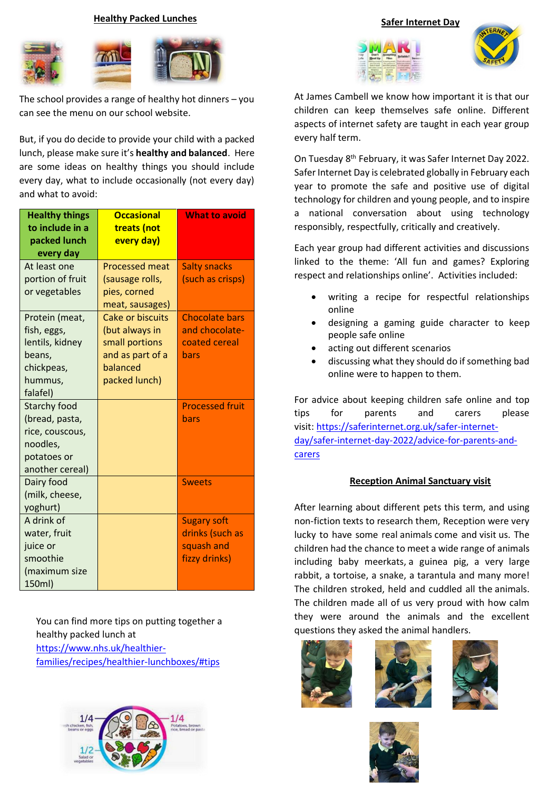#### **Healthy Packed Lunches**



The school provides a range of healthy hot dinners – you can see the menu on our school website.

But, if you do decide to provide your child with a packed lunch, please make sure it's **healthy and balanced**. Here are some ideas on healthy things you should include every day, what to include occasionally (not every day) and what to avoid:

| <b>Healthy things</b><br>to include in a<br>packed lunch<br>every day                                  | <b>Occasional</b><br>treats (not<br>every day)                                                               | <b>What to avoid</b>                                                 |
|--------------------------------------------------------------------------------------------------------|--------------------------------------------------------------------------------------------------------------|----------------------------------------------------------------------|
| At least one<br>portion of fruit<br>or vegetables                                                      | <b>Processed meat</b><br>(sausage rolls,<br>pies, corned<br>meat, sausages)                                  | <b>Salty snacks</b><br>(such as crisps)                              |
| Protein (meat,<br>fish, eggs,<br>lentils, kidney<br>beans,<br>chickpeas,<br>hummus,<br>falafel)        | <b>Cake or biscuits</b><br>(but always in<br>small portions<br>and as part of a<br>balanced<br>packed lunch) | <b>Chocolate bars</b><br>and chocolate-<br>coated cereal<br>bars     |
| <b>Starchy food</b><br>(bread, pasta,<br>rice, couscous,<br>noodles,<br>potatoes or<br>another cereal) |                                                                                                              | <b>Processed fruit</b><br>bars                                       |
| Dairy food<br>(milk, cheese,<br>yoghurt)                                                               |                                                                                                              | <b>Sweets</b>                                                        |
| A drink of<br>water, fruit<br>juice or<br>smoothie<br>(maximum size<br>150ml)                          |                                                                                                              | <b>Sugary soft</b><br>drinks (such as<br>squash and<br>fizzy drinks) |

You can find more tips on putting together a healthy packed lunch at [https://www.nhs.uk/healthier](https://www.nhs.uk/healthier-families/recipes/healthier-lunchboxes/#tips)[families/recipes/healthier-lunchboxes/#tips](https://www.nhs.uk/healthier-families/recipes/healthier-lunchboxes/#tips)



**Safer Internet Day**





At James Cambell we know how important it is that our children can keep themselves safe online. Different aspects of internet safety are taught in each year group every half term.

On Tuesday 8<sup>th</sup> February, it was Safer Internet Day 2022. Safer Internet Day is celebrated globally in February each year to promote the safe and positive use of digital technology for children and young people, and to inspire a national conversation about using technology responsibly, respectfully, critically and creatively.

Each year group had different activities and discussions linked to the theme: 'All fun and games? Exploring respect and relationships online'. Activities included:

- writing a recipe for respectful relationships online
- designing a gaming guide character to keep people safe online
- acting out different scenarios
- discussing what they should do if something bad online were to happen to them.

For advice about keeping children safe online and top tips for parents and carers please visit: [https://saferinternet.org.uk/safer-internet](https://saferinternet.org.uk/safer-internet-day/safer-internet-day-2022/advice-for-parents-and-carers)[day/safer-internet-day-2022/advice-for-parents-and](https://saferinternet.org.uk/safer-internet-day/safer-internet-day-2022/advice-for-parents-and-carers)[carers](https://saferinternet.org.uk/safer-internet-day/safer-internet-day-2022/advice-for-parents-and-carers)

### **Reception Animal Sanctuary visit**

After learning about different pets this term, and using non-fiction texts to research them, Reception were very lucky to have some real animals come and visit us. The children had the chance to meet a wide range of animals including baby meerkats, a guinea pig, a very large rabbit, a tortoise, a snake, a tarantula and many more! The children stroked, held and cuddled all the animals. The children made all of us very proud with how calm they were around the animals and the excellent questions they asked the animal handlers.